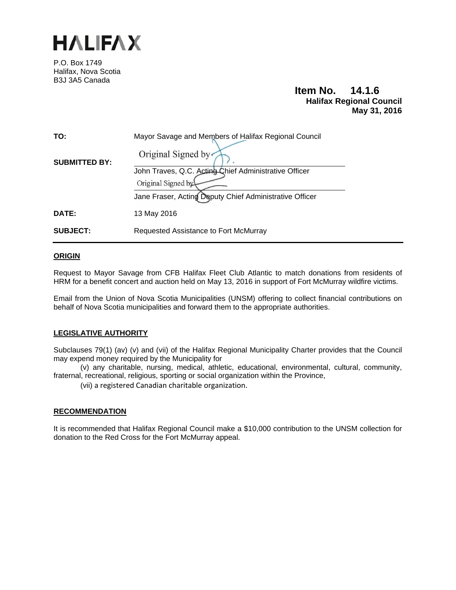

P.O. Box 1749 Halifax, Nova Scotia B3J 3A5 Canada

# **Item No. 14.1.6 Halifax Regional Council May 31, 2016**

| TO:                  | Mayor Savage and Members of Halifax Regional Council    |
|----------------------|---------------------------------------------------------|
| <b>SUBMITTED BY:</b> | Original Signed by                                      |
|                      | John Traves, Q.C. Acting Chief Administrative Officer   |
|                      | Original Signed by                                      |
|                      | Jane Fraser, Acting Deputy Chief Administrative Officer |
| DATE:                | 13 May 2016                                             |
| <b>SUBJECT:</b>      | Requested Assistance to Fort McMurray                   |

# **ORIGIN**

Request to Mayor Savage from CFB Halifax Fleet Club Atlantic to match donations from residents of HRM for a benefit concert and auction held on May 13, 2016 in support of Fort McMurray wildfire victims.

Email from the Union of Nova Scotia Municipalities (UNSM) offering to collect financial contributions on behalf of Nova Scotia municipalities and forward them to the appropriate authorities.

### **LEGISLATIVE AUTHORITY**

Subclauses 79(1) (av) (v) and (vii) of the Halifax Regional Municipality Charter provides that the Council may expend money required by the Municipality for

 (v) any charitable, nursing, medical, athletic, educational, environmental, cultural, community, fraternal, recreational, religious, sporting or social organization within the Province,

(vii) a registered Canadian charitable organization.

### **RECOMMENDATION**

It is recommended that Halifax Regional Council make a \$10,000 contribution to the UNSM collection for donation to the Red Cross for the Fort McMurray appeal.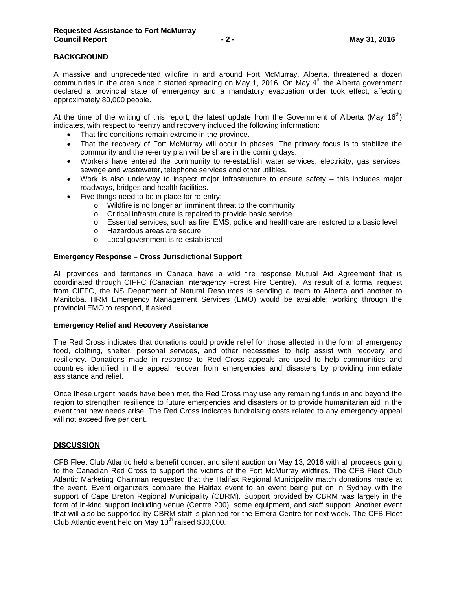# **BACKGROUND**

A massive and unprecedented wildfire in and around Fort McMurray, Alberta, threatened a dozen communities in the area since it started spreading on May 1, 2016. On May  $4<sup>th</sup>$  the Alberta government declared a provincial state of emergency and a mandatory evacuation order took effect, affecting approximately 80,000 people.

At the time of the writing of this report, the latest update from the Government of Alberta (May 16<sup>th</sup>) indicates, with respect to reentry and recovery included the following information:

- That fire conditions remain extreme in the province.
- That the recovery of Fort McMurray will occur in phases. The primary focus is to stabilize the community and the re-entry plan will be share in the coming days.
- Workers have entered the community to re-establish water services, electricity, gas services, sewage and wastewater, telephone services and other utilities.
- Work is also underway to inspect major infrastructure to ensure safety this includes major roadways, bridges and health facilities.
- Five things need to be in place for re-entry:
	- o Wildfire is no longer an imminent threat to the community
	- o Critical infrastructure is repaired to provide basic service
	- o Essential services, such as fire, EMS, police and healthcare are restored to a basic level
	- o Hazardous areas are secure
	- o Local government is re-established

### **Emergency Response – Cross Jurisdictional Support**

All provinces and territories in Canada have a wild fire response Mutual Aid Agreement that is coordinated through CIFFC (Canadian Interagency Forest Fire Centre). As result of a formal request from CIFFC, the NS Department of Natural Resources is sending a team to Alberta and another to Manitoba. HRM Emergency Management Services (EMO) would be available; working through the provincial EMO to respond, if asked.

### **Emergency Relief and Recovery Assistance**

The Red Cross indicates that donations could provide relief for those affected in the form of emergency food, clothing, shelter, personal services, and other necessities to help assist with recovery and resiliency. Donations made in response to Red Cross appeals are used to help communities and countries identified in the appeal recover from emergencies and disasters by providing immediate assistance and relief.

Once these urgent needs have been met, the Red Cross may use any remaining funds in and beyond the region to strengthen resilience to future emergencies and disasters or to provide humanitarian aid in the event that new needs arise. The Red Cross indicates fundraising costs related to any emergency appeal will not exceed five per cent.

### **DISCUSSION**

CFB Fleet Club Atlantic held a benefit concert and silent auction on May 13, 2016 with all proceeds going to the Canadian Red Cross to support the victims of the Fort McMurray wildfires. The CFB Fleet Club Atlantic Marketing Chairman requested that the Halifax Regional Municipality match donations made at the event. Event organizers compare the Halifax event to an event being put on in Sydney with the support of Cape Breton Regional Municipality (CBRM). Support provided by CBRM was largely in the form of in-kind support including venue (Centre 200), some equipment, and staff support. Another event that will also be supported by CBRM staff is planned for the Emera Centre for next week. The CFB Fleet Club Atlantic event held on May  $13<sup>th</sup>$  raised \$30,000.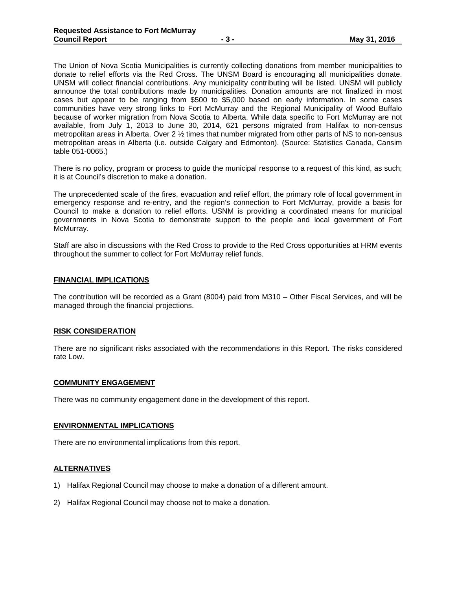The Union of Nova Scotia Municipalities is currently collecting donations from member municipalities to donate to relief efforts via the Red Cross. The UNSM Board is encouraging all municipalities donate. UNSM will collect financial contributions. Any municipality contributing will be listed. UNSM will publicly announce the total contributions made by municipalities. Donation amounts are not finalized in most cases but appear to be ranging from \$500 to \$5,000 based on early information. In some cases communities have very strong links to Fort McMurray and the Regional Municipality of Wood Buffalo because of worker migration from Nova Scotia to Alberta. While data specific to Fort McMurray are not available, from July 1, 2013 to June 30, 2014, 621 persons migrated from Halifax to non-census metropolitan areas in Alberta. Over 2 ½ times that number migrated from other parts of NS to non-census metropolitan areas in Alberta (i.e. outside Calgary and Edmonton). (Source: Statistics Canada, Cansim table 051-0065.)

There is no policy, program or process to guide the municipal response to a request of this kind, as such; it is at Council's discretion to make a donation.

The unprecedented scale of the fires, evacuation and relief effort, the primary role of local government in emergency response and re-entry, and the region's connection to Fort McMurray, provide a basis for Council to make a donation to relief efforts. USNM is providing a coordinated means for municipal governments in Nova Scotia to demonstrate support to the people and local government of Fort McMurray.

Staff are also in discussions with the Red Cross to provide to the Red Cross opportunities at HRM events throughout the summer to collect for Fort McMurray relief funds.

#### **FINANCIAL IMPLICATIONS**

The contribution will be recorded as a Grant (8004) paid from M310 – Other Fiscal Services, and will be managed through the financial projections.

### **RISK CONSIDERATION**

There are no significant risks associated with the recommendations in this Report. The risks considered rate Low.

#### **COMMUNITY ENGAGEMENT**

There was no community engagement done in the development of this report.

#### **ENVIRONMENTAL IMPLICATIONS**

There are no environmental implications from this report.

#### **ALTERNATIVES**

- 1) Halifax Regional Council may choose to make a donation of a different amount.
- 2) Halifax Regional Council may choose not to make a donation.